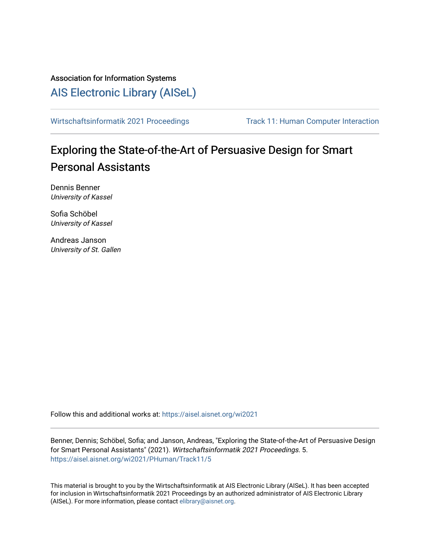Association for Information Systems [AIS Electronic Library \(AISeL\)](https://aisel.aisnet.org/)

[Wirtschaftsinformatik 2021 Proceedings](https://aisel.aisnet.org/wi2021) Track 11: Human Computer Interaction

# Exploring the State-of-the-Art of Persuasive Design for Smart Personal Assistants

Dennis Benner University of Kassel

Sofia Schöbel University of Kassel

Andreas Janson University of St. Gallen

Follow this and additional works at: [https://aisel.aisnet.org/wi2021](https://aisel.aisnet.org/wi2021?utm_source=aisel.aisnet.org%2Fwi2021%2FPHuman%2FTrack11%2F5&utm_medium=PDF&utm_campaign=PDFCoverPages) 

Benner, Dennis; Schöbel, Sofia; and Janson, Andreas, "Exploring the State-of-the-Art of Persuasive Design for Smart Personal Assistants" (2021). Wirtschaftsinformatik 2021 Proceedings. 5. [https://aisel.aisnet.org/wi2021/PHuman/Track11/5](https://aisel.aisnet.org/wi2021/PHuman/Track11/5?utm_source=aisel.aisnet.org%2Fwi2021%2FPHuman%2FTrack11%2F5&utm_medium=PDF&utm_campaign=PDFCoverPages) 

This material is brought to you by the Wirtschaftsinformatik at AIS Electronic Library (AISeL). It has been accepted for inclusion in Wirtschaftsinformatik 2021 Proceedings by an authorized administrator of AIS Electronic Library (AISeL). For more information, please contact [elibrary@aisnet.org](mailto:elibrary@aisnet.org%3E).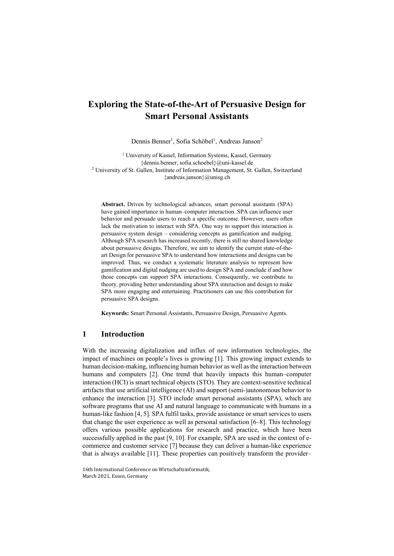## **Exploring the State-of-the-Art of Persuasive Design for Smart Personal Assistants**

Dennis Benner<sup>1</sup>, Sofia Schöbel<sup>1</sup>, Andreas Janson<sup>2</sup>

<sup>1</sup> University of Kassel, Information Systems, Kassel, Germany {dennis.benner, sofia.schoebel}@uni-kassel.de <sup>2</sup> University of St. Gallen, Institute of Information Management, St. Gallen, Switzerland {andreas.janson}@unisg.ch

**Abstract.** Driven by technological advances, smart personal assistants (SPA) have gained importance in human–computer interaction. SPA can influence user behavior and persuade users to reach a specific outcome. However, users often lack the motivation to interact with SPA. One way to support this interaction is persuasive system design – considering concepts as gamification and nudging. Although SPA research has increased recently, there is still no shared knowledge about persuasive designs. Therefore, we aim to identify the current state-of-theart Design for persuasive SPA to understand how interactions and designs can be improved. Thus, we conduct a systematic literature analysis to represent how gamification and digital nudging are used to design SPA and conclude if and how those concepts can support SPA interactions. Consequently, we contribute to theory, providing better understanding about SPA interaction and design to make SPA more engaging and entertaining. Practitioners can use this contribution for persuasive SPA designs.

**Keywords:** Smart Personal Assistants, Persuasive Design, Persuasive Agents.

## **1 Introduction**

With the increasing digitalization and influx of new information technologies, the impact of machines on people's lives is growing [1]. This growing impact extends to human decision-making, influencing human behavior as well as the interaction between humans and computers [2]. One trend that heavily impacts this human–computer interaction (HCI) is smart technical objects (STO). They are context-sensitive technical artifacts that use artificial intelligence (AI) and support (semi-)autonomous behavior to enhance the interaction [3]. STO include smart personal assistants (SPA), which are software programs that use AI and natural language to communicate with humans in a human-like fashion [4, 5]. SPA fulfil tasks, provide assistance or smart services to users that change the user experience as well as personal satisfaction [6–8]. This technology offers various possible applications for research and practice, which have been successfully applied in the past [9, 10]. For example, SPA are used in the context of ecommerce and customer service [7] because they can deliver a human-like experience that is always available [11]. These properties can positively transform the provider–

16th International Conference on Wirtschaftsinformatik, March 2021, Essen, Germany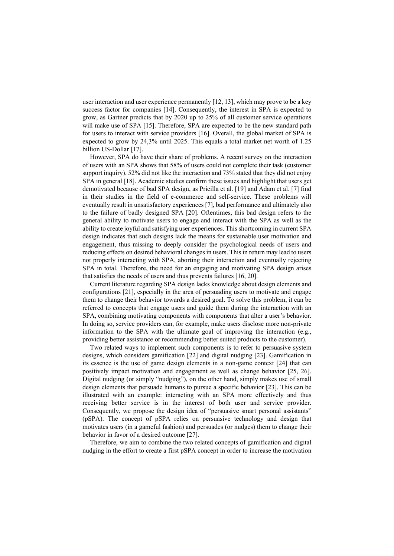user interaction and user experience permanently [12, 13], which may prove to be a key success factor for companies [14]. Consequently, the interest in SPA is expected to grow, as Gartner predicts that by 2020 up to 25% of all customer service operations will make use of SPA [15]. Therefore, SPA are expected to be the new standard path for users to interact with service providers [16]. Overall, the global market of SPA is expected to grow by 24,3% until 2025. This equals a total market net worth of 1.25 billion US-Dollar [17].

However, SPA do have their share of problems. A recent survey on the interaction of users with an SPA shows that 58% of users could not complete their task (customer support inquiry), 52% did not like the interaction and 73% stated that they did not enjoy SPA in general [18]. Academic studies confirm these issues and highlight that users get demotivated because of bad SPA design, as Pricilla et al. [19] and Adam et al. [7] find in their studies in the field of e-commerce and self-service. These problems will eventually result in unsatisfactory experiences [7], bad performance and ultimately also to the failure of badly designed SPA [20]. Oftentimes, this bad design refers to the general ability to motivate users to engage and interact with the SPA as well as the ability to create joyful and satisfying user experiences. This shortcoming in current SPA design indicates that such designs lack the means for sustainable user motivation and engagement, thus missing to deeply consider the psychological needs of users and reducing effects on desired behavioral changes in users. This in return may lead to users not properly interacting with SPA, aborting their interaction and eventually rejecting SPA in total. Therefore, the need for an engaging and motivating SPA design arises that satisfies the needs of users and thus prevents failures [16, 20].

Current literature regarding SPA design lacks knowledge about design elements and configurations [21], especially in the area of persuading users to motivate and engage them to change their behavior towards a desired goal. To solve this problem, it can be referred to concepts that engage users and guide them during the interaction with an SPA, combining motivating components with components that alter a user's behavior. In doing so, service providers can, for example, make users disclose more non-private information to the SPA with the ultimate goal of improving the interaction (e.g., providing better assistance or recommending better suited products to the customer).

Two related ways to implement such components is to refer to persuasive system designs, which considers gamification [22] and digital nudging [23]. Gamification in its essence is the use of game design elements in a non-game context [24] that can positively impact motivation and engagement as well as change behavior [25, 26]. Digital nudging (or simply "nudging"), on the other hand, simply makes use of small design elements that persuade humans to pursue a specific behavior [23]. This can be illustrated with an example: interacting with an SPA more effectively and thus receiving better service is in the interest of both user and service provider. Consequently, we propose the design idea of "persuasive smart personal assistants" (pSPA). The concept of pSPA relies on persuasive technology and design that motivates users (in a gameful fashion) and persuades (or nudges) them to change their behavior in favor of a desired outcome [27].

Therefore, we aim to combine the two related concepts of gamification and digital nudging in the effort to create a first pSPA concept in order to increase the motivation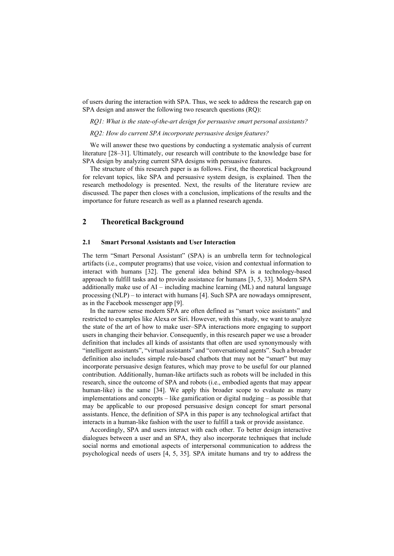of users during the interaction with SPA. Thus, we seek to address the research gap on SPA design and answer the following two research questions (RQ):

*RQ1: What is the state-of-the-art design for persuasive smart personal assistants?*

#### *RQ2: How do current SPA incorporate persuasive design features?*

We will answer these two questions by conducting a systematic analysis of current literature [28–31]. Ultimately, our research will contribute to the knowledge base for SPA design by analyzing current SPA designs with persuasive features.

The structure of this research paper is as follows. First, the theoretical background for relevant topics, like SPA and persuasive system design, is explained. Then the research methodology is presented. Next, the results of the literature review are discussed. The paper then closes with a conclusion, implications of the results and the importance for future research as well as a planned research agenda.

## **2 Theoretical Background**

#### **2.1 Smart Personal Assistants and User Interaction**

The term "Smart Personal Assistant" (SPA) is an umbrella term for technological artifacts (i.e., computer programs) that use voice, vision and contextual information to interact with humans [32]. The general idea behind SPA is a technology-based approach to fulfill tasks and to provide assistance for humans [3, 5, 33]. Modern SPA additionally make use of  $AI$  – including machine learning (ML) and natural language processing (NLP) – to interact with humans [4]. Such SPA are nowadays omnipresent, as in the Facebook messenger app [9].

In the narrow sense modern SPA are often defined as "smart voice assistants" and restricted to examples like Alexa or Siri. However, with this study, we want to analyze the state of the art of how to make user–SPA interactions more engaging to support users in changing their behavior. Consequently, in this research paper we use a broader definition that includes all kinds of assistants that often are used synonymously with "intelligent assistants", "virtual assistants" and "conversational agents". Such a broader definition also includes simple rule-based chatbots that may not be "smart" but may incorporate persuasive design features, which may prove to be useful for our planned contribution. Additionally, human-like artifacts such as robots will be included in this research, since the outcome of SPA and robots (i.e., embodied agents that may appear human-like) is the same [34]. We apply this broader scope to evaluate as many implementations and concepts – like gamification or digital nudging – as possible that may be applicable to our proposed persuasive design concept for smart personal assistants. Hence, the definition of SPA in this paper is any technological artifact that interacts in a human-like fashion with the user to fulfill a task or provide assistance.

Accordingly, SPA and users interact with each other. To better design interactive dialogues between a user and an SPA, they also incorporate techniques that include social norms and emotional aspects of interpersonal communication to address the psychological needs of users [4, 5, 35]. SPA imitate humans and try to address the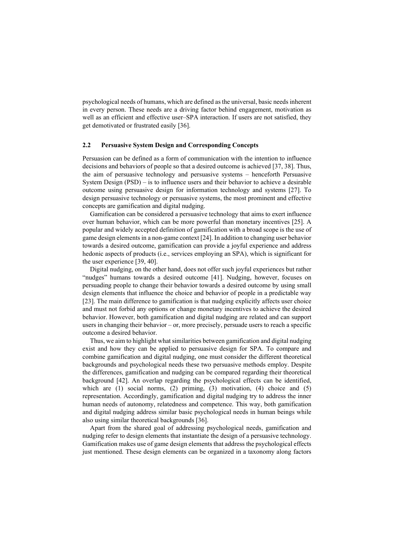psychological needs of humans, which are defined as the universal, basic needs inherent in every person. These needs are a driving factor behind engagement, motivation as well as an efficient and effective user–SPA interaction. If users are not satisfied, they get demotivated or frustrated easily [36].

#### **2.2 Persuasive System Design and Corresponding Concepts**

Persuasion can be defined as a form of communication with the intention to influence decisions and behaviors of people so that a desired outcome is achieved [37, 38]. Thus, the aim of persuasive technology and persuasive systems – henceforth Persuasive System Design (PSD) – is to influence users and their behavior to achieve a desirable outcome using persuasive design for information technology and systems [27]. To design persuasive technology or persuasive systems, the most prominent and effective concepts are gamification and digital nudging.

Gamification can be considered a persuasive technology that aims to exert influence over human behavior, which can be more powerful than monetary incentives [25]. A popular and widely accepted definition of gamification with a broad scope is the use of game design elements in a non-game context [24]. In addition to changing user behavior towards a desired outcome, gamification can provide a joyful experience and address hedonic aspects of products (i.e., services employing an SPA), which is significant for the user experience [39, 40].

Digital nudging, on the other hand, does not offer such joyful experiences but rather "nudges" humans towards a desired outcome [41]. Nudging, however, focuses on persuading people to change their behavior towards a desired outcome by using small design elements that influence the choice and behavior of people in a predictable way [23]. The main difference to gamification is that nudging explicitly affects user choice and must not forbid any options or change monetary incentives to achieve the desired behavior. However, both gamification and digital nudging are related and can support users in changing their behavior – or, more precisely, persuade users to reach a specific outcome a desired behavior.

Thus, we aim to highlight what similarities between gamification and digital nudging exist and how they can be applied to persuasive design for SPA. To compare and combine gamification and digital nudging, one must consider the different theoretical backgrounds and psychological needs these two persuasive methods employ. Despite the differences, gamification and nudging can be compared regarding their theoretical background [42]. An overlap regarding the psychological effects can be identified, which are (1) social norms, (2) priming, (3) motivation, (4) choice and (5) representation. Accordingly, gamification and digital nudging try to address the inner human needs of autonomy, relatedness and competence. This way, both gamification and digital nudging address similar basic psychological needs in human beings while also using similar theoretical backgrounds [36].

Apart from the shared goal of addressing psychological needs, gamification and nudging refer to design elements that instantiate the design of a persuasive technology. Gamification makes use of game design elements that address the psychological effects just mentioned. These design elements can be organized in a taxonomy along factors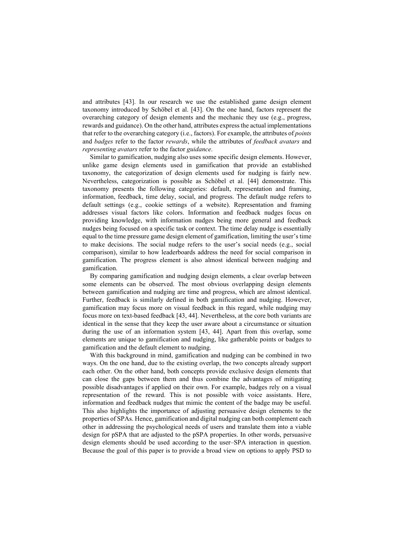and attributes [43]. In our research we use the established game design element taxonomy introduced by Schöbel et al. [43]. On the one hand, factors represent the overarching category of design elements and the mechanic they use (e.g., progress, rewards and guidance). On the other hand, attributes express the actual implementations that refer to the overarching category (i.e., factors). For example, the attributes of *points* and *badges* refer to the factor *rewards*, while the attributes of *feedback avatars* and *representing avatars* refer to the factor *guidance*.

Similar to gamification, nudging also uses some specific design elements. However, unlike game design elements used in gamification that provide an established taxonomy, the categorization of design elements used for nudging is fairly new. Nevertheless, categorization is possible as Schöbel et al. [44] demonstrate. This taxonomy presents the following categories: default, representation and framing, information, feedback, time delay, social, and progress. The default nudge refers to default settings (e.g., cookie settings of a website). Representation and framing addresses visual factors like colors. Information and feedback nudges focus on providing knowledge, with information nudges being more general and feedback nudges being focused on a specific task or context. The time delay nudge is essentially equal to the time pressure game design element of gamification, limiting the user's time to make decisions. The social nudge refers to the user's social needs (e.g., social comparison), similar to how leaderboards address the need for social comparison in gamification. The progress element is also almost identical between nudging and gamification.

By comparing gamification and nudging design elements, a clear overlap between some elements can be observed. The most obvious overlapping design elements between gamification and nudging are time and progress, which are almost identical. Further, feedback is similarly defined in both gamification and nudging. However, gamification may focus more on visual feedback in this regard, while nudging may focus more on text-based feedback [43, 44]. Nevertheless, at the core both variants are identical in the sense that they keep the user aware about a circumstance or situation during the use of an information system [43, 44]. Apart from this overlap, some elements are unique to gamification and nudging, like gatherable points or badges to gamification and the default element to nudging.

With this background in mind, gamification and nudging can be combined in two ways. On the one hand, due to the existing overlap, the two concepts already support each other. On the other hand, both concepts provide exclusive design elements that can close the gaps between them and thus combine the advantages of mitigating possible disadvantages if applied on their own. For example, badges rely on a visual representation of the reward. This is not possible with voice assistants. Here, information and feedback nudges that mimic the content of the badge may be useful. This also highlights the importance of adjusting persuasive design elements to the properties of SPAs. Hence, gamification and digital nudging can both complement each other in addressing the psychological needs of users and translate them into a viable design for pSPA that are adjusted to the pSPA properties. In other words, persuasive design elements should be used according to the user–SPA interaction in question. Because the goal of this paper is to provide a broad view on options to apply PSD to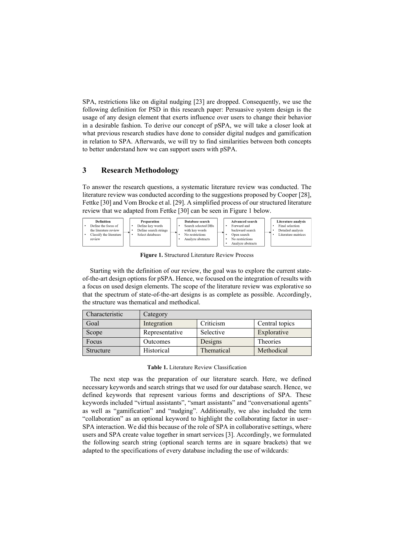SPA, restrictions like on digital nudging [23] are dropped. Consequently, we use the following definition for PSD in this research paper: Persuasive system design is the usage of any design element that exerts influence over users to change their behavior in a desirable fashion. To derive our concept of pSPA, we will take a closer look at what previous research studies have done to consider digital nudges and gamification in relation to SPA. Afterwards, we will try to find similarities between both concepts to better understand how we can support users with pSPA.

## **3 Research Methodology**

To answer the research questions, a systematic literature review was conducted. The literature review was conducted according to the suggestions proposed by Cooper [28], Fettke [30] and Vom Brocke et al. [29]. A simplified process of our structured literature review that we adapted from Fettke [30] can be seen in Figure 1 below.



**Figure 1.** Structured Literature Review Process

Starting with the definition of our review, the goal was to explore the current stateof-the-art design options for pSPA. Hence, we focused on the integration of results with a focus on used design elements. The scope of the literature review was explorative so that the spectrum of state-of-the-art designs is as complete as possible. Accordingly, the structure was thematical and methodical.

| Characteristic | Category       |            |                 |  |  |  |  |  |  |  |
|----------------|----------------|------------|-----------------|--|--|--|--|--|--|--|
| Goal           | Integration    | Criticism  | Central topics  |  |  |  |  |  |  |  |
| Scope          | Representative | Selective  | Explorative     |  |  |  |  |  |  |  |
| Focus          | Outcomes       | Designs    | <b>Theories</b> |  |  |  |  |  |  |  |
| Structure      | Historical     | Thematical | Methodical      |  |  |  |  |  |  |  |

#### **Table 1.** Literature Review Classification

The next step was the preparation of our literature search. Here, we defined necessary keywords and search strings that we used for our database search. Hence, we defined keywords that represent various forms and descriptions of SPA. These keywords included "virtual assistants", "smart assistants" and "conversational agents" as well as "gamification" and "nudging". Additionally, we also included the term "collaboration" as an optional keyword to highlight the collaborating factor in user– SPA interaction. We did this because of the role of SPA in collaborative settings, where users and SPA create value together in smart services [3]. Accordingly, we formulated the following search string (optional search terms are in square brackets) that we adapted to the specifications of every database including the use of wildcards: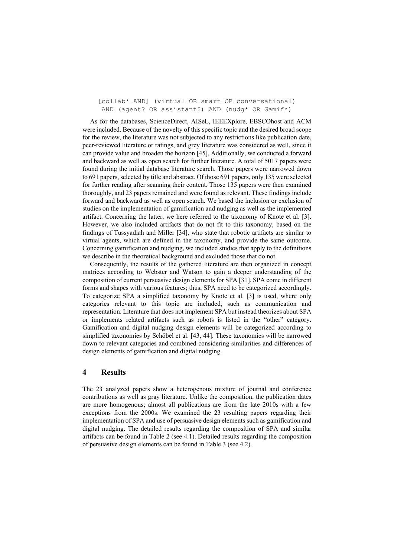[collab\* AND] (virtual OR smart OR conversational) AND (agent? OR assistant?) AND (nudg\* OR Gamif\*)

As for the databases, ScienceDirect, AISeL, IEEEXplore, EBSCOhost and ACM were included. Because of the novelty of this specific topic and the desired broad scope for the review, the literature was not subjected to any restrictions like publication date, peer-reviewed literature or ratings, and grey literature was considered as well, since it can provide value and broaden the horizon [45]. Additionally, we conducted a forward and backward as well as open search for further literature. A total of 5017 papers were found during the initial database literature search. Those papers were narrowed down to 691 papers, selected by title and abstract. Of those 691 papers, only 135 were selected for further reading after scanning their content. Those 135 papers were then examined thoroughly, and 23 papers remained and were found as relevant. These findings include forward and backward as well as open search. We based the inclusion or exclusion of studies on the implementation of gamification and nudging as well as the implemented artifact. Concerning the latter, we here referred to the taxonomy of Knote et al. [3]. However, we also included artifacts that do not fit to this taxonomy, based on the findings of Tussyadiah and Miller [34], who state that robotic artifacts are similar to virtual agents, which are defined in the taxonomy, and provide the same outcome. Concerning gamification and nudging, we included studies that apply to the definitions we describe in the theoretical background and excluded those that do not.

Consequently, the results of the gathered literature are then organized in concept matrices according to Webster and Watson to gain a deeper understanding of the composition of current persuasive design elements for SPA [31]. SPA come in different forms and shapes with various features; thus, SPA need to be categorized accordingly. To categorize SPA a simplified taxonomy by Knote et al. [3] is used, where only categories relevant to this topic are included, such as communication and representation. Literature that does not implement SPA but instead theorizes about SPA or implements related artifacts such as robots is listed in the "other" category. Gamification and digital nudging design elements will be categorized according to simplified taxonomies by Schöbel et al. [43, 44]. These taxonomies will be narrowed down to relevant categories and combined considering similarities and differences of design elements of gamification and digital nudging.

## **4 Results**

The 23 analyzed papers show a heterogenous mixture of journal and conference contributions as well as gray literature. Unlike the composition, the publication dates are more homogenous; almost all publications are from the late 2010s with a few exceptions from the 2000s. We examined the 23 resulting papers regarding their implementation of SPA and use of persuasive design elements such as gamification and digital nudging. The detailed results regarding the composition of SPA and similar artifacts can be found in Table 2 (see 4.1). Detailed results regarding the composition of persuasive design elements can be found in Table 3 (see 4.2).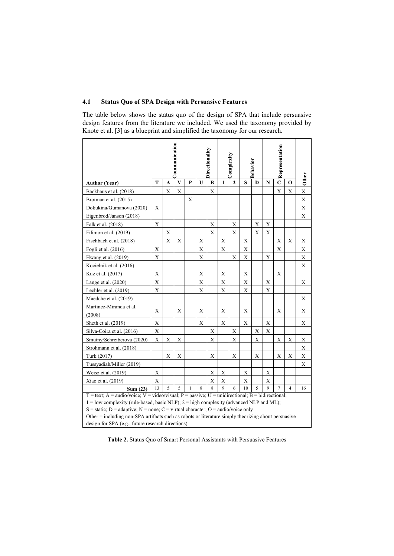## **4.1 Status Quo of SPA Design with Persuasive Features**

The table below shows the status quo of the design of SPA that include persuasive design features from the literature we included. We used the taxonomy provided by Knote et al. [3] as a blueprint and simplified the taxonomy for our research.

|                                                                                                                                                                                                                                                                                                                                                                                                                                                            | Communication |             |              | Directionality |             | $\Box$ omplexity |             | Behavior     |             | Representation |             |                |                |             |
|------------------------------------------------------------------------------------------------------------------------------------------------------------------------------------------------------------------------------------------------------------------------------------------------------------------------------------------------------------------------------------------------------------------------------------------------------------|---------------|-------------|--------------|----------------|-------------|------------------|-------------|--------------|-------------|----------------|-------------|----------------|----------------|-------------|
| <b>Author (Year)</b>                                                                                                                                                                                                                                                                                                                                                                                                                                       | T             | A           | $\mathbf{V}$ | P              | U           | B                | 1           | $\mathbf{2}$ | S           | D              | N           | $\overline{C}$ | $\bf{O}$       | Other       |
| Backhaus et al. (2018)                                                                                                                                                                                                                                                                                                                                                                                                                                     |               | Х           | $\mathbf X$  |                |             | X                |             |              |             |                |             | Х              | Х              | X           |
| Brotman et al. (2015)                                                                                                                                                                                                                                                                                                                                                                                                                                      |               |             |              | Χ              |             |                  |             |              |             |                |             |                |                | $\mathbf X$ |
| Dokukina/Gumanova (2020)                                                                                                                                                                                                                                                                                                                                                                                                                                   | X             |             |              |                |             |                  |             |              |             |                |             |                |                | Х           |
| Eigenbrod/Janson (2018)                                                                                                                                                                                                                                                                                                                                                                                                                                    |               |             |              |                |             |                  |             |              |             |                |             |                |                | X           |
| Falk et al. (2018)                                                                                                                                                                                                                                                                                                                                                                                                                                         | X             |             |              |                |             | X                |             | X            |             | $\mathbf X$    | Х           |                |                |             |
| Filimon et al. (2019)                                                                                                                                                                                                                                                                                                                                                                                                                                      |               | Χ           |              |                |             | $\mathbf X$      |             | X            |             | X              | $\mathbf X$ |                |                |             |
| Fischbach et al. (2018)                                                                                                                                                                                                                                                                                                                                                                                                                                    |               | X           | X            |                | $\mathbf X$ |                  | $\mathbf X$ |              | $\mathbf X$ |                |             | X              | X              | X           |
| Fogli et al. (2016)                                                                                                                                                                                                                                                                                                                                                                                                                                        | X             |             |              |                | X           |                  | X           |              | X           |                |             | X              |                | X           |
| Hwang et al. (2019)                                                                                                                                                                                                                                                                                                                                                                                                                                        | Χ             |             |              |                | Х           |                  |             | $\mathbf X$  | Χ           |                | $\mathbf X$ |                |                | X           |
| Kocielnik et al. (2016)                                                                                                                                                                                                                                                                                                                                                                                                                                    |               |             |              |                |             |                  |             |              |             |                |             |                |                | X           |
| Kuz et al. (2017)                                                                                                                                                                                                                                                                                                                                                                                                                                          | X             |             |              |                | X           |                  | Х           |              | X           |                |             | X              |                |             |
| Lange et al. (2020)                                                                                                                                                                                                                                                                                                                                                                                                                                        | X             |             |              |                | X           |                  | X           |              | X           |                | $\mathbf X$ |                |                | X           |
| Lechler et al. (2019)                                                                                                                                                                                                                                                                                                                                                                                                                                      | Х             |             |              |                | X           |                  | X           |              | X           |                | X           |                |                |             |
| Maedche et al. (2019)                                                                                                                                                                                                                                                                                                                                                                                                                                      |               |             |              |                |             |                  |             |              |             |                |             |                |                | Х           |
| Martinez-Miranda et al.<br>(2008)                                                                                                                                                                                                                                                                                                                                                                                                                          | X             |             | X            |                | X           |                  | X           |              | X           |                |             | X              |                | X           |
| Sheth et al. (2019)                                                                                                                                                                                                                                                                                                                                                                                                                                        | Х             |             |              |                | X           |                  | X           |              | X           |                | X           |                |                | Х           |
| Silva-Coira et al. (2016)                                                                                                                                                                                                                                                                                                                                                                                                                                  | X             |             |              |                |             | X                |             | $\mathbf X$  |             | $\mathbf X$    | $\mathbf X$ |                |                |             |
| Smutny/Schreiberova (2020)                                                                                                                                                                                                                                                                                                                                                                                                                                 | X             | $\mathbf X$ | $\mathbf X$  |                |             | X                |             | X            |             | X              |             | Х              | X              | X           |
| Strohmann et al. (2018)                                                                                                                                                                                                                                                                                                                                                                                                                                    |               |             |              |                |             |                  |             |              |             |                |             |                |                | X           |
| Turk (2017)                                                                                                                                                                                                                                                                                                                                                                                                                                                |               | X           | X            |                |             | X                |             | X            |             | X              |             | X              | X              | X           |
| Tussyadiah/Miller (2019)                                                                                                                                                                                                                                                                                                                                                                                                                                   |               |             |              |                |             |                  |             |              |             |                |             |                |                | Χ           |
| Weisz et al. (2019)                                                                                                                                                                                                                                                                                                                                                                                                                                        | $\mathbf X$   |             |              |                |             | $\mathbf X$      | X           |              | $\mathbf X$ |                | $\mathbf X$ |                |                |             |
| Xiao et al. (2019)                                                                                                                                                                                                                                                                                                                                                                                                                                         | X             |             |              |                |             | X                | X           |              | $\mathbf X$ |                | $\mathbf X$ |                |                |             |
| Sum (23)                                                                                                                                                                                                                                                                                                                                                                                                                                                   | 13            | 5           | 5            | $\mathbf{1}$   | 8           | 8                | 9           | 6            | 10          | 5              | 9           | $\overline{7}$ | $\overline{4}$ | 16          |
| $T = text$ ; A = audio/voice; V = video/visual; P = passive; U = unidirectional; B = bidirectional;<br>$1 =$ low complexity (rule-based, basic NLP); $2 =$ high complexity (advanced NLP and ML);<br>$S =$ static; $D =$ adaptive; $N =$ none; $C =$ virtual character; $O =$ audio/voice only<br>Other = including non-SPA artifacts such as robots or literature simply theorizing about persuasive<br>design for SPA (e.g., future research directions) |               |             |              |                |             |                  |             |              |             |                |             |                |                |             |

**Table 2.** Status Quo of Smart Personal Assistants with Persuasive Features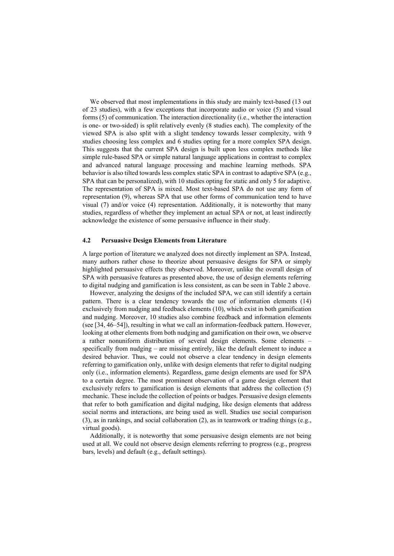We observed that most implementations in this study are mainly text-based (13 out of 23 studies), with a few exceptions that incorporate audio or voice (5) and visual forms (5) of communication. The interaction directionality (i.e., whether the interaction is one- or two-sided) is split relatively evenly (8 studies each). The complexity of the viewed SPA is also split with a slight tendency towards lesser complexity, with 9 studies choosing less complex and 6 studies opting for a more complex SPA design. This suggests that the current SPA design is built upon less complex methods like simple rule-based SPA or simple natural language applications in contrast to complex and advanced natural language processing and machine learning methods. SPA behavior is also tilted towards less complex static SPA in contrast to adaptive SPA (e.g., SPA that can be personalized), with 10 studies opting for static and only 5 for adaptive. The representation of SPA is mixed. Most text-based SPA do not use any form of representation (9), whereas SPA that use other forms of communication tend to have visual (7) and/or voice (4) representation. Additionally, it is noteworthy that many studies, regardless of whether they implement an actual SPA or not, at least indirectly acknowledge the existence of some persuasive influence in their study.

#### **4.2 Persuasive Design Elements from Literature**

A large portion of literature we analyzed does not directly implement an SPA. Instead, many authors rather chose to theorize about persuasive designs for SPA or simply highlighted persuasive effects they observed. Moreover, unlike the overall design of SPA with persuasive features as presented above, the use of design elements referring to digital nudging and gamification is less consistent, as can be seen in Table 2 above.

However, analyzing the designs of the included SPA, we can still identify a certain pattern. There is a clear tendency towards the use of information elements (14) exclusively from nudging and feedback elements (10), which exist in both gamification and nudging. Moreover, 10 studies also combine feedback and information elements (see [34, 46–54]), resulting in what we call an information-feedback pattern. However, looking at other elements from both nudging and gamification on their own, we observe a rather nonuniform distribution of several design elements. Some elements – specifically from nudging – are missing entirely, like the default element to induce a desired behavior. Thus, we could not observe a clear tendency in design elements referring to gamification only, unlike with design elements that refer to digital nudging only (i.e., information elements). Regardless, game design elements are used for SPA to a certain degree. The most prominent observation of a game design element that exclusively refers to gamification is design elements that address the collection (5) mechanic. These include the collection of points or badges. Persuasive design elements that refer to both gamification and digital nudging, like design elements that address social norms and interactions, are being used as well. Studies use social comparison (3), as in rankings, and social collaboration (2), as in teamwork or trading things (e.g., virtual goods).

Additionally, it is noteworthy that some persuasive design elements are not being used at all. We could not observe design elements referring to progress (e.g., progress bars, levels) and default (e.g., default settings).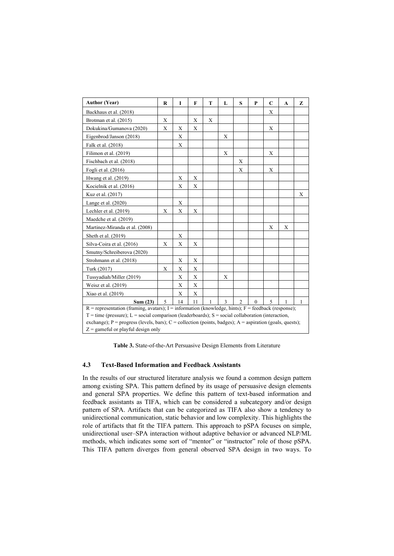| <b>Author (Year)</b>                                                                                                                                                                                                                                                                                                                                                       | $\bf R$ | L  | F  | T | L | S              | P        | $\mathbf C$    | A | Z |
|----------------------------------------------------------------------------------------------------------------------------------------------------------------------------------------------------------------------------------------------------------------------------------------------------------------------------------------------------------------------------|---------|----|----|---|---|----------------|----------|----------------|---|---|
| Backhaus et al. (2018)                                                                                                                                                                                                                                                                                                                                                     |         |    |    |   |   |                |          | X              |   |   |
| Brotman et al. (2015)                                                                                                                                                                                                                                                                                                                                                      | X       |    | X  | X |   |                |          |                |   |   |
| Dokukina/Gumanova (2020)                                                                                                                                                                                                                                                                                                                                                   | X       | Χ  | X  |   |   |                |          | Χ              |   |   |
| Eigenbrod/Janson (2018)                                                                                                                                                                                                                                                                                                                                                    |         | X  |    |   | X |                |          |                |   |   |
| Falk et al. (2018)                                                                                                                                                                                                                                                                                                                                                         |         | X  |    |   |   |                |          |                |   |   |
| Filimon et al. (2019)                                                                                                                                                                                                                                                                                                                                                      |         |    |    |   | X |                |          | X              |   |   |
| Fischbach et al. (2018)                                                                                                                                                                                                                                                                                                                                                    |         |    |    |   |   | X              |          |                |   |   |
| Fogli et al. (2016)                                                                                                                                                                                                                                                                                                                                                        |         |    |    |   |   | X              |          | X              |   |   |
| Hwang et al. (2019)                                                                                                                                                                                                                                                                                                                                                        |         | Х  | X  |   |   |                |          |                |   |   |
| Kocielnik et al. (2016)                                                                                                                                                                                                                                                                                                                                                    |         | X  | X  |   |   |                |          |                |   |   |
| Kuz et al. (2017)                                                                                                                                                                                                                                                                                                                                                          |         |    |    |   |   |                |          |                |   | X |
| Lange et al. (2020)                                                                                                                                                                                                                                                                                                                                                        |         | X  |    |   |   |                |          |                |   |   |
| Lechler et al. $(2019)$                                                                                                                                                                                                                                                                                                                                                    | X       | X  | X  |   |   |                |          |                |   |   |
| Maedche et al. (2019)                                                                                                                                                                                                                                                                                                                                                      |         |    |    |   |   |                |          |                |   |   |
| Martinez-Miranda et al. (2008)                                                                                                                                                                                                                                                                                                                                             |         |    |    |   |   |                |          | X              | X |   |
| Sheth et al. (2019)                                                                                                                                                                                                                                                                                                                                                        |         | X  |    |   |   |                |          |                |   |   |
| Silva-Coira et al. (2016)                                                                                                                                                                                                                                                                                                                                                  | X       | X  | X  |   |   |                |          |                |   |   |
| Smutny/Schreiberova (2020)                                                                                                                                                                                                                                                                                                                                                 |         |    |    |   |   |                |          |                |   |   |
| Strohmann et al. (2018)                                                                                                                                                                                                                                                                                                                                                    |         | X  | X  |   |   |                |          |                |   |   |
| Turk (2017)                                                                                                                                                                                                                                                                                                                                                                | X       | X  | X  |   |   |                |          |                |   |   |
| Tussyadiah/Miller (2019)                                                                                                                                                                                                                                                                                                                                                   |         | X  | X  |   | X |                |          |                |   |   |
| Weisz et al. (2019)                                                                                                                                                                                                                                                                                                                                                        |         | X  | X  |   |   |                |          |                |   |   |
| Xiao et al. (2019)                                                                                                                                                                                                                                                                                                                                                         |         | Х  | X  |   |   |                |          |                |   |   |
| Sum(23)                                                                                                                                                                                                                                                                                                                                                                    | 5       | 14 | 11 | 1 | 3 | $\overline{c}$ | $\theta$ | $\overline{5}$ |   | 1 |
| $R =$ representation (framing, avatars); $I =$ information (knowledge, hints); $F =$ feedback (response);<br>$T =$ time (pressure); L = social comparison (leaderboards); S = social collaboration (interaction,<br>exchange); $P =$ progress (levels, bars); $C =$ collection (points, badges); $A =$ aspiration (goals, quests);<br>$Z =$ gameful or playful design only |         |    |    |   |   |                |          |                |   |   |

**Table 3.** State-of-the-Art Persuasive Design Elements from Literature

## **4.3 Text-Based Information and Feedback Assistants**

In the results of our structured literature analysis we found a common design pattern among existing SPA. This pattern defined by its usage of persuasive design elements and general SPA properties. We define this pattern of text-based information and feedback assistants as TIFA, which can be considered a subcategory and/or design pattern of SPA. Artifacts that can be categorized as TIFA also show a tendency to unidirectional communication, static behavior and low complexity. This highlights the role of artifacts that fit the TIFA pattern. This approach to pSPA focuses on simple, unidirectional user–SPA interaction without adaptive behavior or advanced NLP/ML methods, which indicates some sort of "mentor" or "instructor" role of those pSPA. This TIFA pattern diverges from general observed SPA design in two ways. To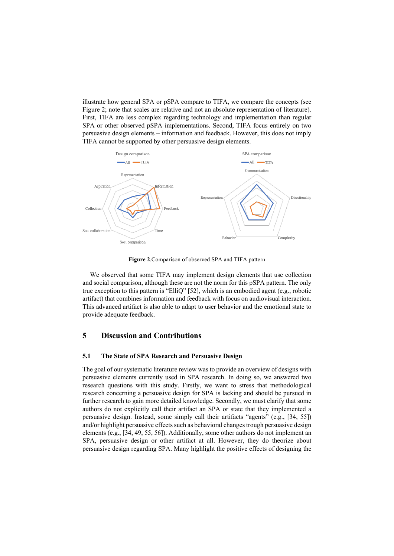illustrate how general SPA or pSPA compare to TIFA, we compare the concepts (see Figure 2; note that scales are relative and not an absolute representation of literature). First, TIFA are less complex regarding technology and implementation than regular SPA or other observed pSPA implementations. Second, TIFA focus entirely on two persuasive design elements – information and feedback. However, this does not imply TIFA cannot be supported by other persuasive design elements.



**Figure 2**.Comparison of observed SPA and TIFA pattern

We observed that some TIFA may implement design elements that use collection and social comparison, although these are not the norm for this pSPA pattern. The only true exception to this pattern is "ElliQ" [52], which is an embodied agent (e.g., robotic artifact) that combines information and feedback with focus on audiovisual interaction. This advanced artifact is also able to adapt to user behavior and the emotional state to provide adequate feedback.

## **5 Discussion and Contributions**

#### **5.1 The State of SPA Research and Persuasive Design**

The goal of our systematic literature review was to provide an overview of designs with persuasive elements currently used in SPA research. In doing so, we answered two research questions with this study. Firstly, we want to stress that methodological research concerning a persuasive design for SPA is lacking and should be pursued in further research to gain more detailed knowledge. Secondly, we must clarify that some authors do not explicitly call their artifact an SPA or state that they implemented a persuasive design. Instead, some simply call their artifacts "agents" (e.g., [34, 55]) and/or highlight persuasive effects such as behavioral changes trough persuasive design elements (e.g., [34, 49, 55, 56]). Additionally, some other authors do not implement an SPA, persuasive design or other artifact at all. However, they do theorize about persuasive design regarding SPA. Many highlight the positive effects of designing the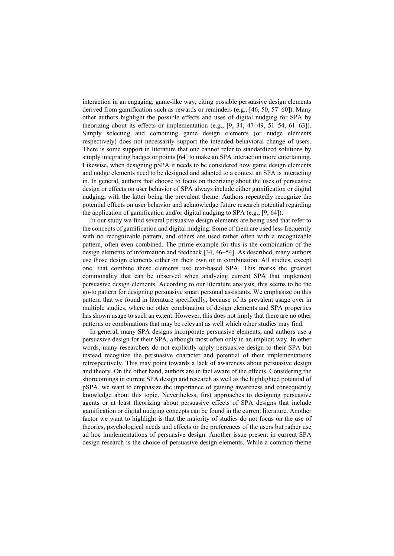interaction in an engaging, game-like way, citing possible persuasive design elements derived from gamification such as rewards or reminders (e.g., [46, 50, 57–60]). Many other authors highlight the possible effects and uses of digital nudging for SPA by theorizing about its effects or implementation (e.g.,  $[9, 34, 47-49, 51-54, 61-63]$ ). Simply selecting and combining game design elements (or nudge elements respectively) does not necessarily support the intended behavioral change of users. There is some support in literature that one cannot refer to standardized solutions by simply integrating badges or points [64] to make an SPA interaction more entertaining. Likewise, when designing pSPA it needs to be considered how game design elements and nudge elements need to be designed and adapted to a context an SPA is interacting in. In general, authors that choose to focus on theorizing about the uses of persuasive design or effects on user behavior of SPA always include either gamification or digital nudging, with the latter being the prevalent theme. Authors repeatedly recognize the potential effects on user behavior and acknowledge future research potential regarding the application of gamification and/or digital nudging to SPA (e.g., [9, 64]).

In our study we find several persuasive design elements are being used that refer to the concepts of gamification and digital nudging. Some of them are used less frequently with no recognizable pattern, and others are used rather often with a recognizable pattern, often even combined. The prime example for this is the combination of the design elements of information and feedback [34, 46–54]. As described, many authors use those design elements either on their own or in combination. All studies, except one, that combine these elements use text-based SPA. This marks the greatest commonality that can be observed when analyzing current SPA that implement persuasive design elements. According to our literature analysis, this seems to be the go-to pattern for designing persuasive smart personal assistants. We emphasize on this pattern that we found in literature specifically, because of its prevalent usage over in multiple studies, where no other combination of design elements and SPA properties has shown usage to such an extent. However, this does not imply that there are no other patterns or combinations that may be relevant as well which other studies may find.

In general, many SPA designs incorporate persuasive elements, and authors use a persuasive design for their SPA, although most often only in an implicit way. In other words, many researchers do not explicitly apply persuasive design to their SPA but instead recognize the persuasive character and potential of their implementations retrospectively. This may point towards a lack of awareness about persuasive design and theory. On the other hand, authors are in fact aware of the effects. Considering the shortcomings in current SPA design and research as well as the highlighted potential of pSPA, we want to emphasize the importance of gaining awareness and consequently knowledge about this topic. Nevertheless, first approaches to designing persuasive agents or at least theorizing about persuasive effects of SPA designs that include gamification or digital nudging concepts can be found in the current literature. Another factor we want to highlight is that the majority of studies do not focus on the use of theories, psychological needs and effects or the preferences of the users but rather use ad hoc implementations of persuasive design. Another issue present in current SPA design research is the choice of persuasive design elements. While a common theme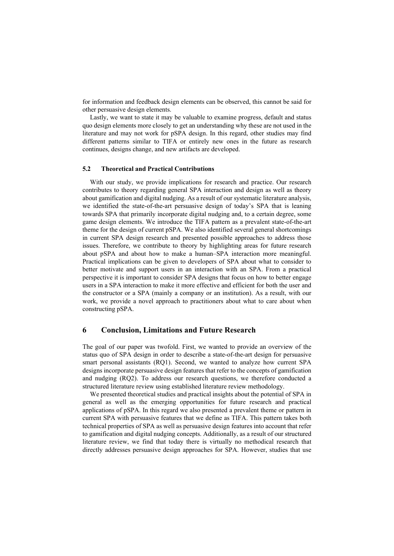for information and feedback design elements can be observed, this cannot be said for other persuasive design elements.

Lastly, we want to state it may be valuable to examine progress, default and status quo design elements more closely to get an understanding why these are not used in the literature and may not work for pSPA design. In this regard, other studies may find different patterns similar to TIFA or entirely new ones in the future as research continues, designs change, and new artifacts are developed.

## **5.2 Theoretical and Practical Contributions**

With our study, we provide implications for research and practice. Our research contributes to theory regarding general SPA interaction and design as well as theory about gamification and digital nudging. As a result of our systematic literature analysis, we identified the state-of-the-art persuasive design of today's SPA that is leaning towards SPA that primarily incorporate digital nudging and, to a certain degree, some game design elements. We introduce the TIFA pattern as a prevalent state-of-the-art theme for the design of current pSPA. We also identified several general shortcomings in current SPA design research and presented possible approaches to address those issues. Therefore, we contribute to theory by highlighting areas for future research about pSPA and about how to make a human–SPA interaction more meaningful. Practical implications can be given to developers of SPA about what to consider to better motivate and support users in an interaction with an SPA. From a practical perspective it is important to consider SPA designs that focus on how to better engage users in a SPA interaction to make it more effective and efficient for both the user and the constructor or a SPA (mainly a company or an institution). As a result, with our work, we provide a novel approach to practitioners about what to care about when constructing pSPA.

## **6 Conclusion, Limitations and Future Research**

The goal of our paper was twofold. First, we wanted to provide an overview of the status quo of SPA design in order to describe a state-of-the-art design for persuasive smart personal assistants (RQ1). Second, we wanted to analyze how current SPA designs incorporate persuasive design features that refer to the concepts of gamification and nudging (RQ2). To address our research questions, we therefore conducted a structured literature review using established literature review methodology.

We presented theoretical studies and practical insights about the potential of SPA in general as well as the emerging opportunities for future research and practical applications of pSPA. In this regard we also presented a prevalent theme or pattern in current SPA with persuasive features that we define as TIFA. This pattern takes both technical properties of SPA as well as persuasive design features into account that refer to gamification and digital nudging concepts. Additionally, as a result of our structured literature review, we find that today there is virtually no methodical research that directly addresses persuasive design approaches for SPA. However, studies that use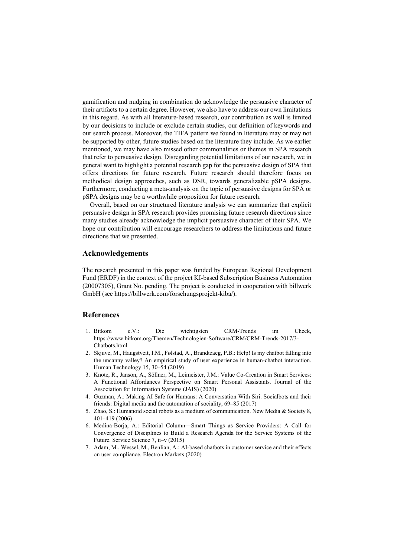gamification and nudging in combination do acknowledge the persuasive character of their artifacts to a certain degree. However, we also have to address our own limitations in this regard. As with all literature-based research, our contribution as well is limited by our decisions to include or exclude certain studies, our definition of keywords and our search process. Moreover, the TIFA pattern we found in literature may or may not be supported by other, future studies based on the literature they include. As we earlier mentioned, we may have also missed other commonalities or themes in SPA research that refer to persuasive design. Disregarding potential limitations of our research, we in general want to highlight a potential research gap for the persuasive design of SPA that offers directions for future research. Future research should therefore focus on methodical design approaches, such as DSR, towards generalizable pSPA designs. Furthermore, conducting a meta-analysis on the topic of persuasive designs for SPA or pSPA designs may be a worthwhile proposition for future research.

Overall, based on our structured literature analysis we can summarize that explicit persuasive design in SPA research provides promising future research directions since many studies already acknowledge the implicit persuasive character of their SPA. We hope our contribution will encourage researchers to address the limitations and future directions that we presented.

#### **Acknowledgements**

The research presented in this paper was funded by European Regional Development Fund (ERDF) in the context of the project KI-based Subscription Business Automation (20007305), Grant No. pending. The project is conducted in cooperation with billwerk GmbH (see https://billwerk.com/forschungsprojekt-kiba/).

#### **References**

- 1. Bitkom e.V.: Die wichtigsten CRM-Trends im Check, https://www.bitkom.org/Themen/Technologien-Software/CRM/CRM-Trends-2017/3- Chatbots.html
- 2. Skjuve, M., Haugstveit, I.M., Følstad, A., Brandtzaeg, P.B.: Help! Is my chatbot falling into the uncanny valley? An empirical study of user experience in human-chatbot interaction. Human Technology 15, 30–54 (2019)
- 3. Knote, R., Janson, A., Söllner, M., Leimeister, J.M.: Value Co-Creation in Smart Services: A Functional Affordances Perspective on Smart Personal Assistants. Journal of the Association for Information Systems (JAIS) (2020)
- 4. Guzman, A.: Making AI Safe for Humans: A Conversation With Siri. Socialbots and their friends: Digital media and the automation of sociality, 69–85 (2017)
- 5. Zhao, S.: Humanoid social robots as a medium of communication. New Media & Society 8, 401–419 (2006)
- 6. Medina-Borja, A.: Editorial Column—Smart Things as Service Providers: A Call for Convergence of Disciplines to Build a Research Agenda for the Service Systems of the Future. Service Science 7, ii–v (2015)
- 7. Adam, M., Wessel, M., Benlian, A.: AI-based chatbots in customer service and their effects on user compliance. Electron Markets (2020)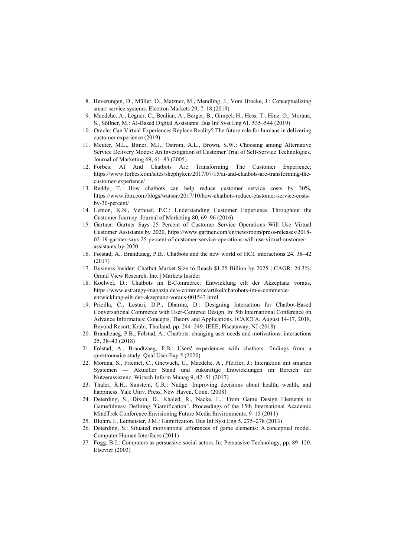- 8. Beverungen, D., Müller, O., Matzner, M., Mendling, J., Vom Brocke, J.: Conceptualizing smart service systems. Electron Markets 29, 7–18 (2019)
- 9. Maedche, A., Legner, C., Benlian, A., Berger, B., Gimpel, H., Hess, T., Hinz, O., Morana, S., Söllner, M.: AI-Based Digital Assistants. Bus Inf Syst Eng 61, 535–544 (2019)
- 10. Oracle: Can Virtual Experiences Replace Reality? The future role for humans in delivering customer experience (2019)
- 11. Meuter, M.L., Bitner, M.J., Ostrom, A.L., Brown, S.W.: Choosing among Alternative Service Delivery Modes: An Investigation of Customer Trial of Self-Service Technologies. Journal of Marketing 69, 61–83 (2005)
- 12. Forbes: AI And Chatbots Are Transforming The Customer Experience, https://www.forbes.com/sites/shephyken/2017/07/15/ai-and-chatbots-are-transforming-thecustomer-experience/
- 13. Reddy, T.: How chatbots can help reduce customer service costs by 30%, https://www.ibm.com/blogs/watson/2017/10/how-chatbots-reduce-customer-service-costsby-30-percent/
- 14. Lemon, K.N., Verhoef, P.C.: Understanding Customer Experience Throughout the Customer Journey. Journal of Marketing 80, 69–96 (2016)
- 15. Gartner: Gartner Says 25 Percent of Customer Service Operations Will Use Virtual Customer Assistants by 2020, https://www.gartner.com/en/newsroom/press-releases/2018- 02-19-gartner-says-25-percent-of-customer-service-operations-will-use-virtual-customerassistants-by-2020
- 16. Følstad, A., Brandtzæg, P.B.: Chatbots and the new world of HCI. interactions 24, 38–42 (2017)
- 17. Business Insider: Chatbot Market Size to Reach \$1.25 Billion by 2025 | CAGR: 24.3%: Grand View Research, Inc. | Markets Insider
- 18. Koelwel, D.: Chatbots im E-Commerce: Entwicklung eilt der Akzeptanz voraus, https://www.estrategy-magazin.de/e-commerce/artikel/chatobots-im-e-commerceentwicklung-eilt-der-akzeptanz-voraus-001543.html
- 19. Pricilla, C., Lestari, D.P., Dharma, D.: Designing Interaction for Chatbot-Based Conversational Commerce with User-Centered Design. In: 5th International Conference on Advance Informatics: Concepts, Theory and Applications. ICAICTA, August 14-17, 2018, Beyond Resort, Krabi, Thailand, pp. 244–249. IEEE, Piscataway, NJ (2018)
- 20. Brandtzaeg, P.B., Følstad, A.: Chatbots: changing user needs and motivations. interactions 25, 38–43 (2018)
- 21. Følstad, A., Brandtzaeg, P.B.: Users' experiences with chatbots: findings from a questionnaire study. Qual User Exp 5 (2020)
- 22. Morana, S., Friemel, C., Gnewuch, U., Maedche, A., Pfeiffer, J.: Interaktion mit smarten Systemen — Aktueller Stand und zukünftige Entwicklungen im Bereich der Nutzerassistenz. Wirtsch Inform Manag 9, 42–51 (2017)
- 23. Thaler, R.H., Sunstein, C.R.: Nudge. Improving decisions about health, wealth, and happiness. Yale Univ. Press, New Haven, Conn. (2008)
- 24. Deterding, S., Dixon, D., Khaled, R., Nacke, L.: From Game Design Elements to Gamefulness: Defining "Gamification". Proceedings of the 15th International Academic MindTrek Conference Envisioning Future Media Environments, 9–15 (2011)
- 25. Blohm, I., Leimeister, J.M.: Gamification. Bus Inf Syst Eng 5, 275–278 (2013)
- 26. Deterding, S.: Situated motivational afforances of game elements: A conceptual model. Computer Human Interfaces (2011)
- 27. Fogg, B.J.: Computers as persuasive social actors. In: Persuasive Technology, pp. 89–120. Elsevier (2003)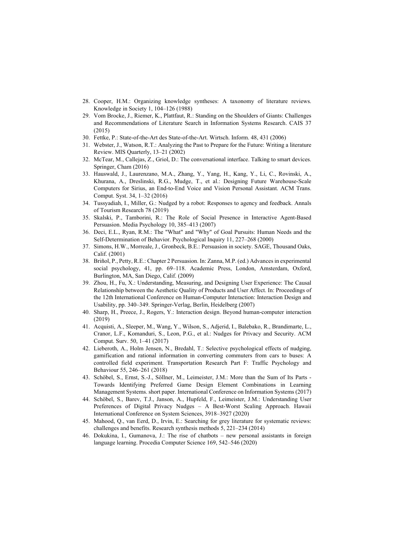- 28. Cooper, H.M.: Organizing knowledge syntheses: A taxonomy of literature reviews. Knowledge in Society 1, 104–126 (1988)
- 29. Vom Brocke, J., Riemer, K., Plattfaut, R.: Standing on the Shoulders of Giants: Challenges and Recommendations of Literature Search in Information Systems Research. CAIS 37 (2015)
- 30. Fettke, P.: State-of-the-Art des State-of-the-Art. Wirtsch. Inform. 48, 431 (2006)
- 31. Webster, J., Watson, R.T.: Analyzing the Past to Prepare for the Future: Writing a literature Review. MIS Quarterly, 13–21 (2002)
- 32. McTear, M., Callejas, Z., Griol, D.: The conversational interface. Talking to smart devices. Springer, Cham (2016)
- 33. Hauswald, J., Laurenzano, M.A., Zhang, Y., Yang, H., Kang, Y., Li, C., Rovinski, A., Khurana, A., Dreslinski, R.G., Mudge, T., et al.: Designing Future Warehouse-Scale Computers for Sirius, an End-to-End Voice and Vision Personal Assistant. ACM Trans. Comput. Syst. 34, 1–32 (2016)
- 34. Tussyadiah, I., Miller, G.: Nudged by a robot: Responses to agency and feedback. Annals of Tourism Research 78 (2019)
- 35. Skalski, P., Tamborini, R.: The Role of Social Presence in Interactive Agent-Based Persuasion. Media Psychology 10, 385–413 (2007)
- 36. Deci, E.L., Ryan, R.M.: The "What" and "Why" of Goal Pursuits: Human Needs and the Self-Determination of Behavior. Psychological Inquiry 11, 227–268 (2000)
- 37. Simons, H.W., Morreale, J., Gronbeck, B.E.: Persuasion in society. SAGE, Thousand Oaks, Calif. (2001)
- 38. Briñol, P., Petty, R.E.: Chapter 2 Persuasion. In: Zanna, M.P. (ed.) Advances in experimental social psychology, 41, pp. 69–118. Academic Press, London, Amsterdam, Oxford, Burlington, MA, San Diego, Calif. (2009)
- 39. Zhou, H., Fu, X.: Understanding, Measuring, and Designing User Experience: The Causal Relationship between the Aesthetic Quality of Products and User Affect. In: Proceedings of the 12th International Conference on Human-Computer Interaction: Interaction Design and Usability, pp. 340–349. Springer-Verlag, Berlin, Heidelberg (2007)
- 40. Sharp, H., Preece, J., Rogers, Y.: Interaction design. Beyond human-computer interaction (2019)
- 41. Acquisti, A., Sleeper, M., Wang, Y., Wilson, S., Adjerid, I., Balebako, R., Brandimarte, L., Cranor, L.F., Komanduri, S., Leon, P.G., et al.: Nudges for Privacy and Security. ACM Comput. Surv. 50, 1–41 (2017)
- 42. Lieberoth, A., Holm Jensen, N., Bredahl, T.: Selective psychological effects of nudging, gamification and rational information in converting commuters from cars to buses: A controlled field experiment. Transportation Research Part F: Traffic Psychology and Behaviour 55, 246–261 (2018)
- 43. Schöbel, S., Ernst, S.-J., Söllner, M., Leimeister, J.M.: More than the Sum of Its Parts Towards Identifying Preferred Game Design Element Combinations in Learning Management Systems. short paper. International Conference on Information Systems (2017)
- 44. Schöbel, S., Barev, T.J., Janson, A., Hupfeld, F., Leimeister, J.M.: Understanding User Preferences of Digital Privacy Nudges – A Best-Worst Scaling Approach. Hawaii International Conference on System Sciences, 3918–3927 (2020)
- 45. Mahood, Q., van Eerd, D., Irvin, E.: Searching for grey literature for systematic reviews: challenges and benefits. Research synthesis methods 5, 221–234 (2014)
- 46. Dokukina, I., Gumanova, J.: The rise of chatbots new personal assistants in foreign language learning. Procedia Computer Science 169, 542–546 (2020)